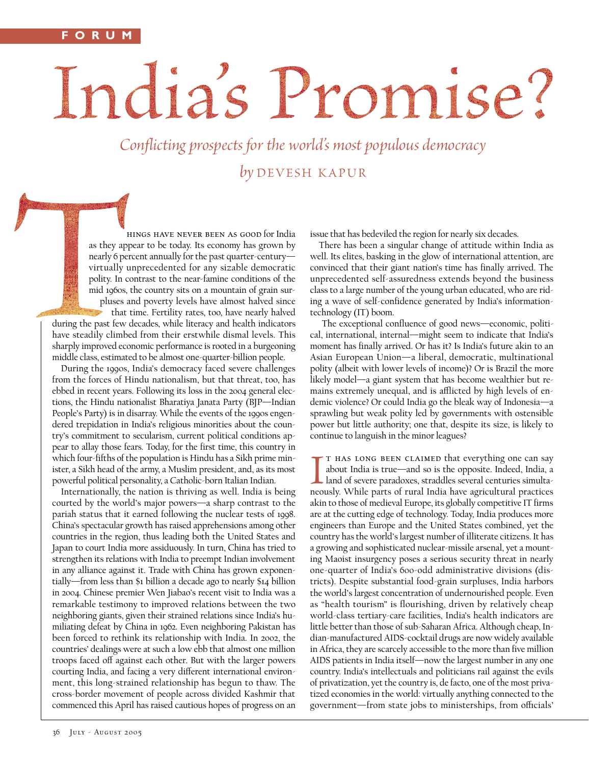## India's Promise?

Conflicting prospects for the world's most populous democracy by DEVESH KAPUR

hings have never been as good for India as they appear to be today. Its economy has grown by nearly 6 percent annually for the past quarter-century virtually unprecedented for any sizable democratic polity. In contrast to the near-famine conditions of the mid 1960s, the country sits on a mountain of grain surpluses and poverty levels have almost halved since

that time. Fertility rates, too, have nearly halved during the past few decades, while literacy and health indicators have steadily climbed from their erstwhile dismal levels. This sharply improved economic performance is rooted in a burgeoning middle class, estimated to be almost one-quarter-billion people.

During the 1990s, India's democracy faced severe challenges from the forces of Hindu nationalism, but that threat, too, has ebbed in recent years. Following its loss in the 2004 general elections, the Hindu nationalist Bharatiya Janata Party (BJP—Indian People's Party) is in disarray. While the events of the 1990s engendered trepidation in India's religious minorities about the country's commitment to secularism, current political conditions appear to allay those fears. Today, for the first time, this country in which four-fifths of the population is Hindu has a Sikh prime minister, a Sikh head of the army, a Muslim president, and, as its most powerful political personality, a Catholic-born Italian Indian.

Internationally, the nation is thriving as well. India is being courted by the world's major powers—a sharp contrast to the pariah status that it earned following the nuclear tests of 1998. China's spectacular growth has raised apprehensions among other countries in the region, thus leading both the United States and Japan to court India more assiduously. In turn, China has tried to strengthen its relations with India to preempt Indian involvement in any alliance against it. Trade with China has grown exponentially—from less than \$1 billion a decade ago to nearly \$14 billion in 2004. Chinese premier Wen Jiabao's recent visit to India was a remarkable testimony to improved relations between the two neighboring giants, given their strained relations since India's humiliating defeat by China in 1962. Even neighboring Pakistan has been forced to rethink its relationship with India. In 2002, the countries' dealings were at such a low ebb that almost one million troops faced off against each other. But with the larger powers courting India, and facing a very different international environment, this long-strained relationship has begun to thaw. The cross-border movement of people across divided Kashmir that commenced this April has raised cautious hopes of progress on an issue that has bedeviled the region for nearly six decades.

There has been a singular change of attitude within India as well. Its elites, basking in the glow of international attention, are convinced that their giant nation's time has finally arrived. The unprecedented self-assuredness extends beyond the business class to a large number of the young urban educated, who are riding a wave of self-confidence generated by India's informationtechnology (IT) boom.

The exceptional confluence of good news—economic, political, international, internal—might seem to indicate that India's moment has finally arrived. Or has it? Is India's future akin to an Asian European Union—a liberal, democratic, multinational polity (albeit with lower levels of income)? Or is Brazil the more likely model—a giant system that has become wealthier but remains extremely unequal, and is afflicted by high levels of endemic violence? Or could India go the bleak way of Indonesia—a sprawling but weak polity led by governments with ostensible power but little authority; one that, despite its size, is likely to continue to languish in the minor leagues?

T HAS LONG BEEN CLAIMED that everything one can say about India is true—and so is the opposite. Indeed, India, a land of severe paradoxes, straddles several centuries simultaneously. While parts of rural India have agricul t has long been claimed that everything one can say about India is true—and so is the opposite. Indeed, India, a land of severe paradoxes, straddles several centuries simultaakin to those of medieval Europe, its globally competitive IT firms are at the cutting edge of technology. Today, India produces more engineers than Europe and the United States combined, yet the country has the world's largest number of illiterate citizens. It has a growing and sophisticated nuclear-missile arsenal, yet a mounting Maoist insurgency poses a serious security threat in nearly one-quarter of India's 600-odd administrative divisions (districts). Despite substantial food-grain surpluses, India harbors the world's largest concentration of undernourished people. Even as "health tourism" is flourishing, driven by relatively cheap world-class tertiary-care facilities, India's health indicators are little better than those of sub-Saharan Africa. Although cheap, Indian-manufactured AIDS-cocktail drugs are now widely available in Africa, they are scarcely accessible to the more than five million AIDS patients in India itself—now the largest number in any one country. India's intellectuals and politicians rail against the evils of privatization, yet the country is, de facto, one of the most privatized economies in the world: virtually anything connected to the government—from state jobs to ministerships, from officials'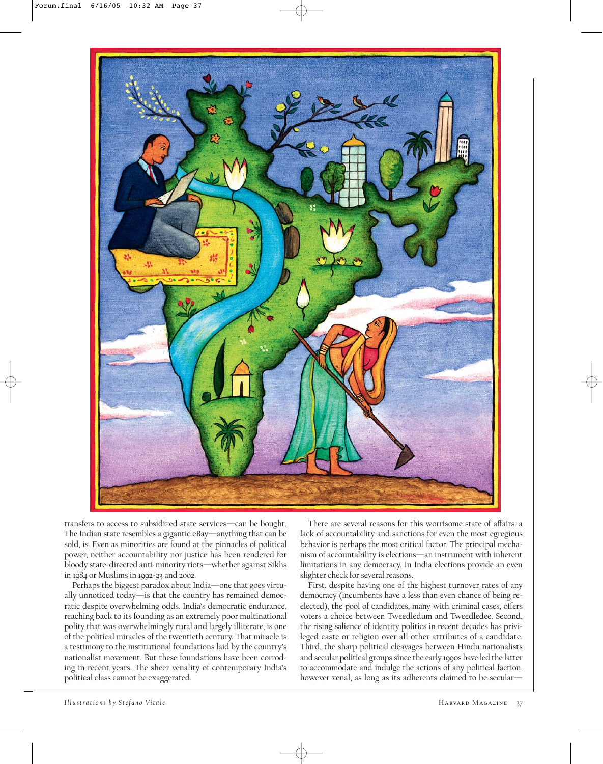

transfers to access to subsidized state services—can be bought. The Indian state resembles a gigantic eBay—anything that can be sold, is. Even as minorities are found at the pinnacles of political power, neither accountability nor justice has been rendered for bloody state-directed anti-minority riots—whether against Sikhs in 1984 or Muslims in 1992-93 and 2002.

Perhaps the biggest paradox about India—one that goes virtually unnoticed today—is that the country has remained democratic despite overwhelming odds. India's democratic endurance, reaching back to its founding as an extremely poor multinational polity that was overwhelmingly rural and largely illiterate, is one of the political miracles of the twentieth century. That miracle is a testimony to the institutional foundations laid by the country's nationalist movement. But these foundations have been corroding in recent years. The sheer venality of contemporary India's political class cannot be exaggerated.

There are several reasons for this worrisome state of affairs: a lack of accountability and sanctions for even the most egregious behavior is perhaps the most critical factor. The principal mechanism of accountability is elections—an instrument with inherent limitations in any democracy. In India elections provide an even slighter check for several reasons.

First, despite having one of the highest turnover rates of any democracy (incumbents have a less than even chance of being reelected), the pool of candidates, many with criminal cases, offers voters a choice between Tweedledum and Tweedledee. Second, the rising salience of identity politics in recent decades has privileged caste or religion over all other attributes of a candidate. Third, the sharp political cleavages between Hindu nationalists and secular political groups since the early 1990s have led the latter to accommodate and indulge the actions of any political faction, however venal, as long as its adherents claimed to be secular-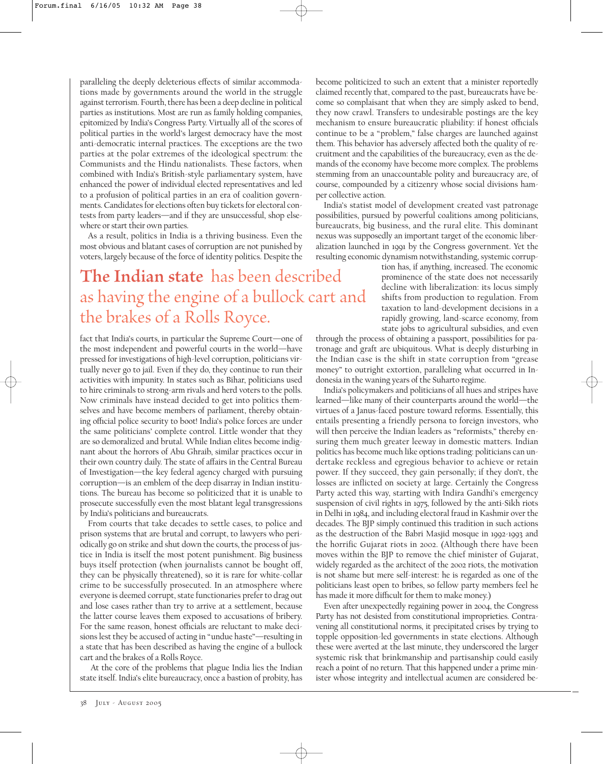paralleling the deeply deleterious effects of similar accommodations made by governments around the world in the struggle against terrorism. Fourth, there has been a deep decline in political parties as institutions. Most are run as family holding companies, epitomized by India's Congress Party. Virtually all of the scores of political parties in the world's largest democracy have the most anti-democratic internal practices. The exceptions are the two parties at the polar extremes of the ideological spectrum: the Communists and the Hindu nationalists. These factors, when combined with India's British-style parliamentary system, have enhanced the power of individual elected representatives and led to a profusion of political parties in an era of coalition governments. Candidates for elections often buy tickets for electoral contests from party leaders—and if they are unsuccessful, shop elsewhere or start their own parties.

As a result, politics in India is a thriving business. Even the most obvious and blatant cases of corruption are not punished by voters, largely because of the force of identity politics. Despite the

## **The Indian state** has been described as having the engine of a bullock cart and the brakes of a Rolls Royce.

fact that India's courts, in particular the Supreme Court—one of the most independent and powerful courts in the world—have pressed for investigations of high-level corruption, politicians virtually never go to jail. Even if they do, they continue to run their activities with impunity. In states such as Bihar, politicians used to hire criminals to strong-arm rivals and herd voters to the polls. Now criminals have instead decided to get into politics themselves and have become members of parliament, thereby obtaining official police security to boot! India's police forces are under the same politicians' complete control. Little wonder that they are so demoralized and brutal. While Indian elites become indignant about the horrors of Abu Ghraib, similar practices occur in their own country daily. The state of affairs in the Central Bureau of Investigation—the key federal agency charged with pursuing corruption—is an emblem of the deep disarray in Indian institutions. The bureau has become so politicized that it is unable to prosecute successfully even the most blatant legal transgressions by India's politicians and bureaucrats.

From courts that take decades to settle cases, to police and prison systems that are brutal and corrupt, to lawyers who periodically go on strike and shut down the courts, the process of justice in India is itself the most potent punishment. Big business buys itself protection (when journalists cannot be bought off, they can be physically threatened), so it is rare for white-collar crime to be successfully prosecuted. In an atmosphere where everyone is deemed corrupt, state functionaries prefer to drag out and lose cases rather than try to arrive at a settlement, because the latter course leaves them exposed to accusations of bribery. For the same reason, honest officials are reluctant to make decisions lest they be accused of acting in "undue haste"—resulting in a state that has been described as having the engine of a bullock cart and the brakes of a Rolls Royce.

At the core of the problems that plague India lies the Indian state itself. India's elite bureaucracy, once a bastion of probity, has become politicized to such an extent that a minister reportedly claimed recently that, compared to the past, bureaucrats have become so complaisant that when they are simply asked to bend, they now crawl. Transfers to undesirable postings are the key mechanism to ensure bureaucratic pliability: if honest officials continue to be a "problem," false charges are launched against them. This behavior has adversely affected both the quality of recruitment and the capabilities of the bureaucracy, even as the demands of the economy have become more complex. The problems stemming from an unaccountable polity and bureaucracy are, of course, compounded by a citizenry whose social divisions hamper collective action.

India's statist model of development created vast patronage possibilities, pursued by powerful coalitions among politicians, bureaucrats, big business, and the rural elite. This dominant nexus was supposedly an important target of the economic liberalization launched in 1991 by the Congress government. Yet the resulting economic dynamism notwithstanding, systemic corrup-

tion has, if anything, increased. The economic prominence of the state does not necessarily decline with liberalization: its locus simply shifts from production to regulation. From taxation to land-development decisions in a rapidly growing, land-scarce economy, from state jobs to agricultural subsidies, and even

through the process of obtaining a passport, possibilities for patronage and graft are ubiquitous. What is deeply disturbing in the Indian case is the shift in state corruption from "grease money" to outright extortion, paralleling what occurred in Indonesia in the waning years of the Suharto regime.

India's policymakers and politicians of all hues and stripes have learned—like many of their counterparts around the world—the virtues of a Janus-faced posture toward reforms. Essentially, this entails presenting a friendly persona to foreign investors, who will then perceive the Indian leaders as "reformists," thereby ensuring them much greater leeway in domestic matters. Indian politics has become much like options trading: politicians can undertake reckless and egregious behavior to achieve or retain power. If they succeed, they gain personally; if they don't, the losses are inflicted on society at large. Certainly the Congress Party acted this way, starting with Indira Gandhi's emergency suspension of civil rights in 1975, followed by the anti-Sikh riots in Delhi in 1984, and including electoral fraud in Kashmir over the decades. The BJP simply continued this tradition in such actions as the destruction of the Babri Masjid mosque in 1992-1993 and the horrific Gujarat riots in 2002. (Although there have been moves within the BJP to remove the chief minister of Gujarat, widely regarded as the architect of the 2002 riots, the motivation is not shame but mere self-interest: he is regarded as one of the politicians least open to bribes, so fellow party members feel he has made it more difficult for them to make money.)

Even after unexpectedly regaining power in 2004, the Congress Party has not desisted from constitutional improprieties. Contravening all constitutional norms, it precipitated crises by trying to topple opposition-led governments in state elections. Although these were averted at the last minute, they underscored the larger systemic risk that brinkmanship and partisanship could easily reach a point of no return. That this happened under a prime minister whose integrity and intellectual acumen are considered be-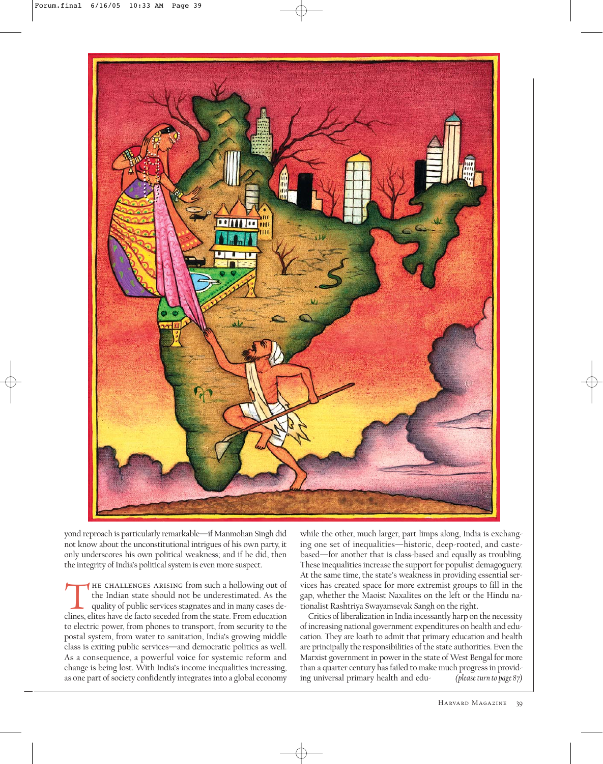

yond reproach is particularly remarkable—if Manmohan Singh did not know about the unconstitutional intrigues of his own party, it only underscores his own political weakness; and if he did, then the integrity of India's political system is even more suspect.

THE CHALLENGES ARISING from such a hollowing out of<br>the Indian state should not be underestimated. As the<br>quality of public services stagnates and in many cases de-<br>clines. elites have de facto seceded from the state. From the Indian state should not be underestimated. As the quality of public services stagnates and in many cases declines, elites have de facto seceded from the state. From education to electric power, from phones to transport, from security to the postal system, from water to sanitation, India's growing middle class is exiting public services—and democratic politics as well. As a consequence, a powerful voice for systemic reform and change is being lost. With India's income inequalities increasing, as one part of society confidently integrates into a global economy

while the other, much larger, part limps along, India is exchanging one set of inequalities—historic, deep-rooted, and castebased—for another that is class-based and equally as troubling. These inequalities increase the support for populist demagoguery. At the same time, the state's weakness in providing essential services has created space for more extremist groups to fill in the gap, whether the Maoist Naxalites on the left or the Hindu nationalist Rashtriya Swayamsevak Sangh on the right.

Critics of liberalization in India incessantly harp on the necessity of increasing national government expenditures on health and education. They are loath to admit that primary education and health are principally the responsibilities of the state authorities. Even the Marxist government in power in the state of West Bengal for more than a quarter century has failed to make much progress in providing universal primary health and edu- *(please turn to page 87)*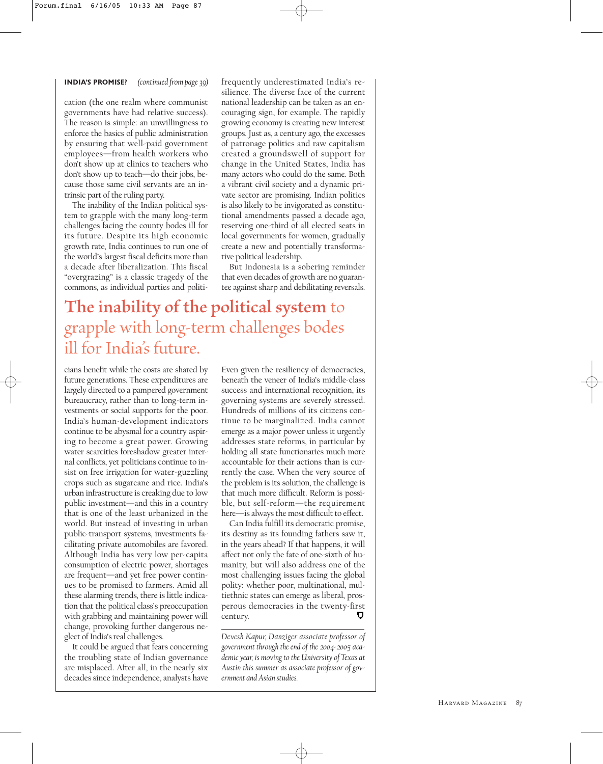## **INDIA'S PROMISE?** *(continued from page 39)*

cation (the one realm where communist governments have had relative success). The reason is simple: an unwillingness to enforce the basics of public administration by ensuring that well-paid government employees—from health workers who don't show up at clinics to teachers who don't show up to teach—do their jobs, because those same civil servants are an intrinsic part of the ruling party.

The inability of the Indian political system to grapple with the many long-term challenges facing the county bodes ill for its future. Despite its high economic growth rate, India continues to run one of the world's largest fiscal deficits more than a decade after liberalization. This fiscal "overgrazing" is a classic tragedy of the commons, as individual parties and politifrequently underestimated India's resilience. The diverse face of the current national leadership can be taken as an encouraging sign, for example. The rapidly growing economy is creating new interest groups. Just as, a century ago, the excesses of patronage politics and raw capitalism created a groundswell of support for change in the United States, India has many actors who could do the same. Both a vibrant civil society and a dynamic private sector are promising. Indian politics is also likely to be invigorated as constitutional amendments passed a decade ago, reserving one-third of all elected seats in local governments for women, gradually create a new and potentially transformative political leadership.

But Indonesia is a sobering reminder that even decades of growth are no guarantee against sharp and debilitating reversals.

## **The inability of the political system** to grapple with long-term challenges bodes ill for India's future.

cians benefit while the costs are shared by future generations. These expenditures are largely directed to a pampered government bureaucracy, rather than to long-term investments or social supports for the poor. India's human-development indicators continue to be abysmal for a country aspiring to become a great power. Growing water scarcities foreshadow greater internal conflicts, yet politicians continue to insist on free irrigation for water-guzzling crops such as sugarcane and rice. India's urban infrastructure is creaking due to low public investment—and this in a country that is one of the least urbanized in the world. But instead of investing in urban public-transport systems, investments facilitating private automobiles are favored. Although India has very low per-capita consumption of electric power, shortages are frequent—and yet free power continues to be promised to farmers. Amid all these alarming trends, there is little indication that the political class's preoccupation with grabbing and maintaining power will change, provoking further dangerous neglect of India's real challenges.

It could be argued that fears concerning the troubling state of Indian governance are misplaced. After all, in the nearly six decades since independence, analysts have

Even given the resiliency of democracies, beneath the veneer of India's middle-class success and international recognition, its governing systems are severely stressed. Hundreds of millions of its citizens continue to be marginalized. India cannot emerge as a major power unless it urgently addresses state reforms, in particular by holding all state functionaries much more accountable for their actions than is currently the case. When the very source of the problem is its solution, the challenge is that much more difficult. Reform is possible, but self-reform—the requirement here—is always the most difficult to effect.

Can India fulfill its democratic promise, its destiny as its founding fathers saw it, in the years ahead? If that happens, it will affect not only the fate of one-sixth of humanity, but will also address one of the most challenging issues facing the global polity: whether poor, multinational, multiethnic states can emerge as liberal, prosperous democracies in the twenty-first century.

*Devesh Kapur, Danziger associate professor of government through the end of the 2004-2005 academic year, is moving to the University of Texas at Austin this summer as associate professor of government and Asian studies.*